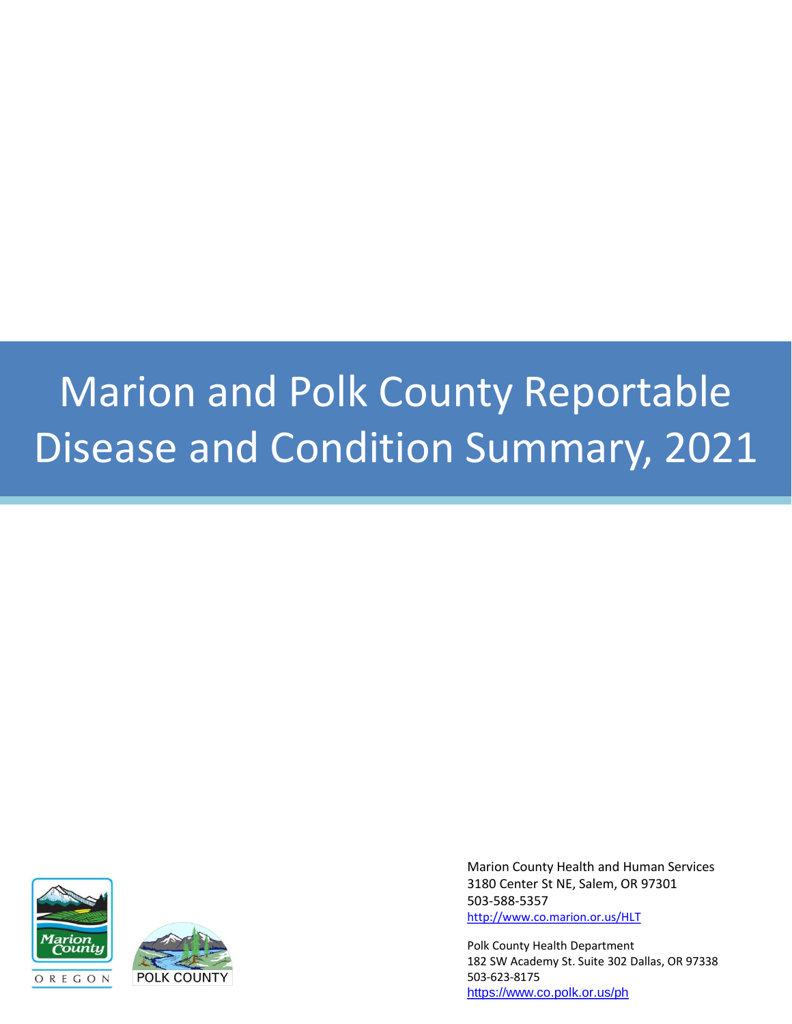### Marion and Polk County Reportable Disease and Condition Summary, 2021





Marion County Health and Human Services 3180 Center St NE, Salem, OR 97301 503-588-5357 <http://www.co.marion.or.us/HLT>

Polk County Health Department 182 SW Academy St. Suite 302 Dallas, OR 97338 503-623-8175 <https://www.co.polk.or.us/ph>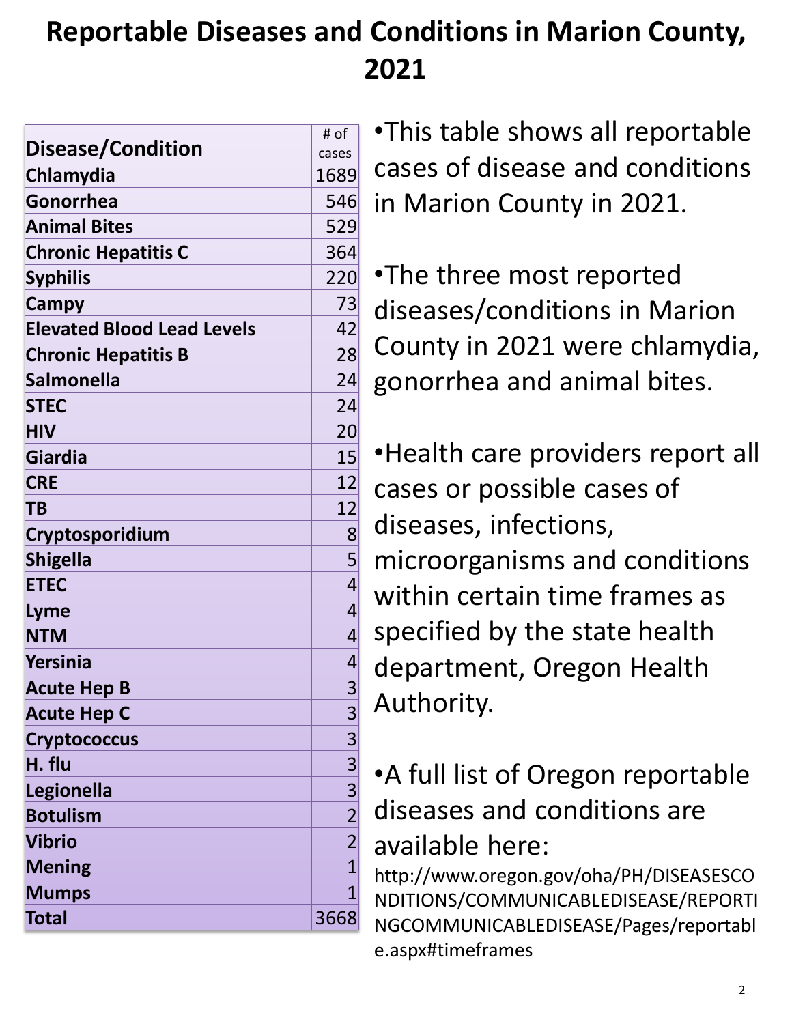### **Reportable Diseases and Conditions in Marion County, 2021**

|                                   | # of                                                    |
|-----------------------------------|---------------------------------------------------------|
| <b>Disease/Condition</b>          | cases                                                   |
| Chlamydia                         | 1689                                                    |
| Gonorrhea                         | 546                                                     |
| <b>Animal Bites</b>               | 529                                                     |
| <b>Chronic Hepatitis C</b>        | 364                                                     |
| <b>Syphilis</b>                   | 220                                                     |
| Campy                             | 73                                                      |
| <b>Elevated Blood Lead Levels</b> | 42                                                      |
| <b>Chronic Hepatitis B</b>        | 28                                                      |
| <b>Salmonella</b>                 | 24                                                      |
| <b>STEC</b>                       | 24                                                      |
| <b>HIV</b>                        | 20 <sup>°</sup>                                         |
| Giardia                           | 15                                                      |
| <b>CRE</b>                        | 12                                                      |
| <b>TB</b>                         | 12                                                      |
| Cryptosporidium                   | 8 <sup>0</sup>                                          |
| <b>Shigella</b>                   | 5                                                       |
| <b>ETEC</b>                       | $\overline{4}$                                          |
| Lyme                              | $\overline{4}$                                          |
| <b>NTM</b>                        | 4                                                       |
| <b>Yersinia</b>                   | $\vert 4 \vert$                                         |
| <b>Acute Hep B</b>                | 3                                                       |
| <b>Acute Hep C</b>                |                                                         |
| <b>Cryptococcus</b>               |                                                         |
| H. flu                            |                                                         |
| Legionella                        |                                                         |
| <b>Botulism</b>                   | $\frac{3}{3}$ $\frac{3}{2}$ $\frac{3}{2}$ $\frac{2}{2}$ |
| <b>Vibrio</b>                     |                                                         |
| <b>Mening</b>                     | $\overline{1}$                                          |
| <b>Mumps</b>                      | $\overline{1}$                                          |
| Total                             | 3668                                                    |

•This table shows all reportable cases of disease and conditions in Marion County in 2021.

•The three most reported diseases/conditions in Marion County in 2021 were chlamydia, gonorrhea and animal bites.

•Health care providers report all cases or possible cases of diseases, infections, microorganisms and conditions within certain time frames as specified by the state health department, Oregon Health Authority.

#### •A full list of Oregon reportable diseases and conditions are available here:

http://www.oregon.gov/oha/PH/DISEASESCO NDITIONS/COMMUNICABLEDISEASE/REPORTI NGCOMMUNICABLEDISEASE/Pages/reportabl e.aspx#timeframes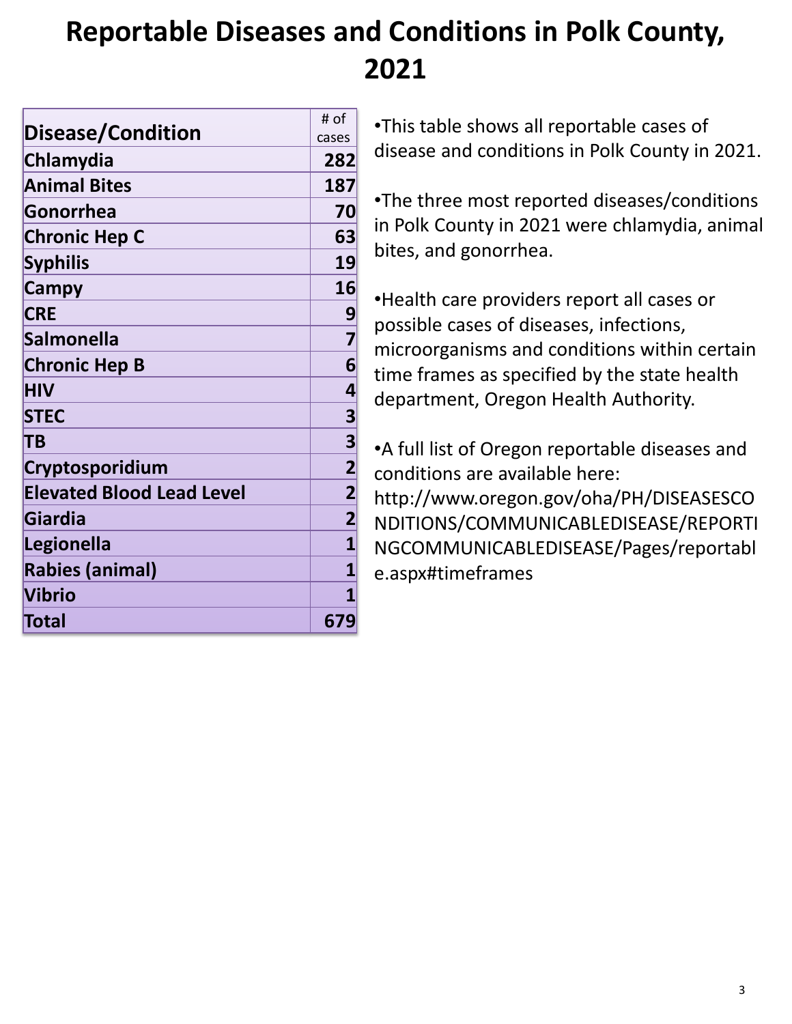#### **Reportable Diseases and Conditions in Polk County, 2021**

|                                  | # of                    |
|----------------------------------|-------------------------|
| Disease/Condition                | cases                   |
| Chlamydia                        | 282                     |
| <b>Animal Bites</b>              | 187                     |
| Gonorrhea                        | 70                      |
| <b>Chronic Hep C</b>             | 63                      |
| <b>Syphilis</b>                  | 19                      |
| Campy                            | 16                      |
| <b>CRE</b>                       | 9                       |
| <b>Salmonella</b>                | $\overline{\mathbf{z}}$ |
| <b>Chronic Hep B</b>             | 6                       |
| <b>HIV</b>                       | 4                       |
| <b>STEC</b>                      | 3                       |
| TΒ                               | 3                       |
| Cryptosporidium                  | $\overline{2}$          |
| <b>Elevated Blood Lead Level</b> | $\overline{2}$          |
| Giardia                          | $\overline{\mathbf{2}}$ |
| Legionella                       | 1                       |
| <b>Rabies (animal)</b>           | $\overline{\mathbf{1}}$ |
| <b>Vibrio</b>                    | 1                       |
| Total                            | 679                     |

•This table shows all reportable cases of disease and conditions in Polk County in 2021.

•The three most reported diseases/conditions in Polk County in 2021 were chlamydia, animal bites, and gonorrhea.

•Health care providers report all cases or possible cases of diseases, infections, microorganisms and conditions within certain time frames as specified by the state health department, Oregon Health Authority.

•A full list of Oregon reportable diseases and conditions are available here: http://www.oregon.gov/oha/PH/DISEASESCO NDITIONS/COMMUNICABLEDISEASE/REPORTI NGCOMMUNICABLEDISEASE/Pages/reportabl e.aspx#timeframes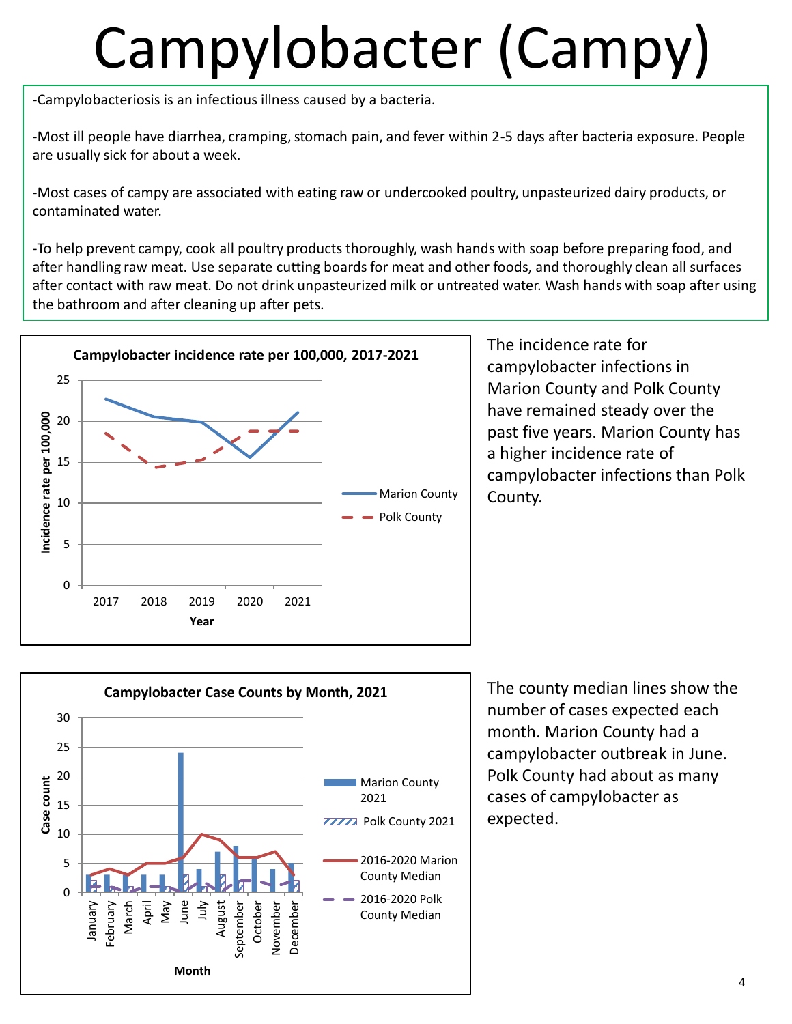# Campylobacter (Campy)

-Campylobacteriosis is an infectious illness caused by a bacteria.

-Most ill people have diarrhea, cramping, stomach pain, and fever within 2-5 days after bacteria exposure. People are usually sick for about a week.

-Most cases of campy are associated with eating raw or undercooked poultry, unpasteurized dairy products, or contaminated water.

-To help prevent campy, cook all poultry products thoroughly, wash hands with soap before preparing food, and after handling raw meat. Use separate cutting boards for meat and other foods, and thoroughly clean all surfaces after contact with raw meat. Do not drink unpasteurized milk or untreated water. Wash hands with soap after using the bathroom and after cleaning up after pets.



The incidence rate for campylobacter infections in Marion County and Polk County have remained steady over the past five years. Marion County has a higher incidence rate of campylobacter infections than Polk County.



The county median lines show the number of cases expected each month. Marion County had a campylobacter outbreak in June. Polk County had about as many cases of campylobacter as expected.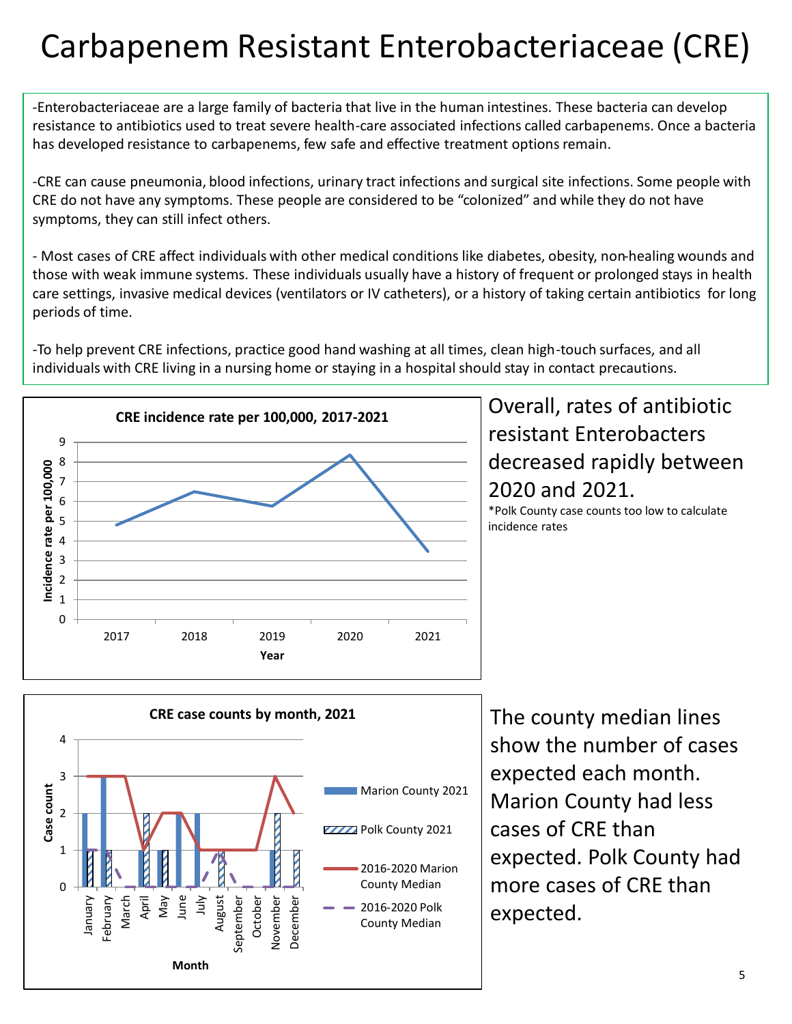### Carbapenem Resistant Enterobacteriaceae (CRE)

-Enterobacteriaceae are a large family of bacteria that live in the human intestines. These bacteria can develop resistance to antibiotics used to treat severe health-care associated infections called carbapenems. Once a bacteria has developed resistance to carbapenems, few safe and effective treatment options remain.

-CRE can cause pneumonia, blood infections, urinary tract infections and surgical site infections. Some people with CRE do not have any symptoms. These people are considered to be "colonized" and while they do not have symptoms, they can still infect others.

- Most cases of CRE affect individuals with other medical conditions like diabetes, obesity, non-healing wounds and those with weak immune systems. These individuals usually have a history of frequent or prolonged stays in health care settings, invasive medical devices (ventilators or IV catheters), or a history of taking certain antibiotics for long periods of time.

-To help prevent CRE infections, practice good hand washing at all times, clean high-touch surfaces, and all individuals with CRE living in a nursing home or staying in a hospital should stay in contact precautions.



Overall, rates of antibiotic resistant Enterobacters decreased rapidly between 2020 and 2021.

\*Polk County case counts too low to calculate incidence rates



The county median lines show the number of cases expected each month. Marion County had less cases of CRE than expected. Polk County had more cases of CRE than expected.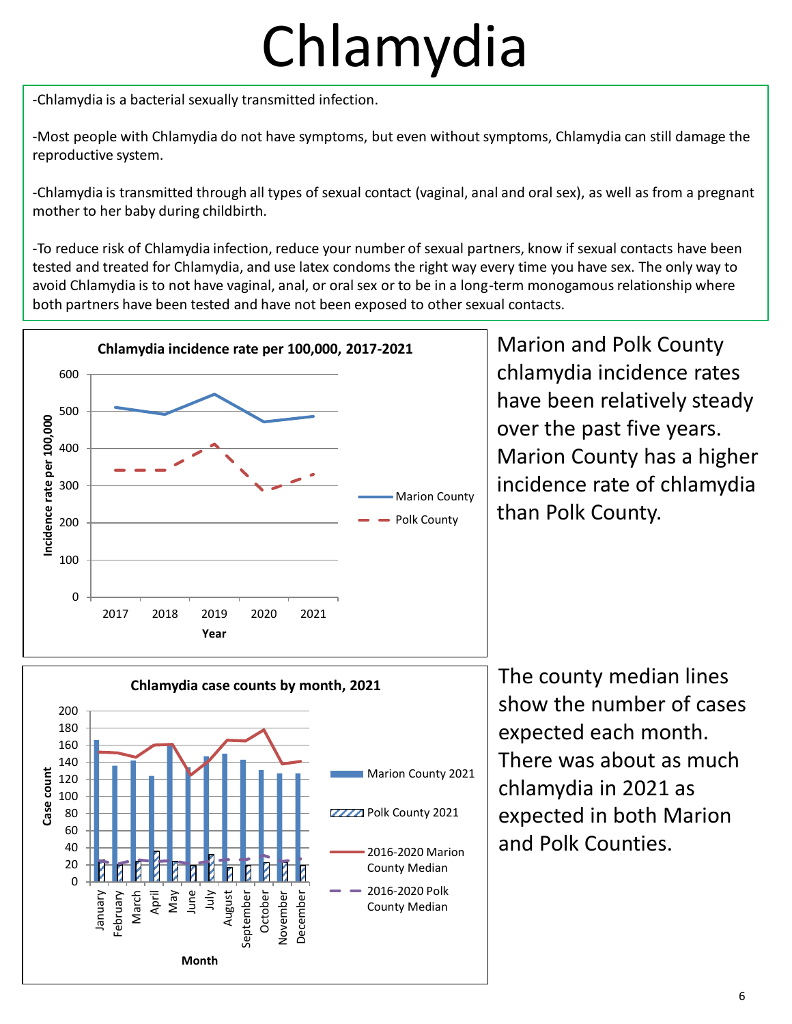# Chlamydia

-Chlamydia is a bacterial sexually transmitted infection.

-Most people with Chlamydia do not have symptoms, but even without symptoms, Chlamydia can still damage the reproductive system.

-Chlamydia is transmitted through all types of sexual contact (vaginal, anal and oral sex), as well as from a pregnant mother to her baby during childbirth.

-To reduce risk of Chlamydia infection, reduce your number of sexual partners, know if sexual contacts have been tested and treated for Chlamydia, and use latex condoms the right way every time you have sex. The only way to avoid Chlamydia is to not have vaginal, anal, or oral sex or to be in a long-term monogamous relationship where both partners have been tested and have not been exposed to other sexual contacts.



Marion and Polk County chlamydia incidence rates have been relatively steady over the past five years. Marion County has a higher incidence rate of chlamydia than Polk County.



The county median lines show the number of cases expected each month. There was about as much chlamydia in 2021 as expected in both Marion and Polk Counties.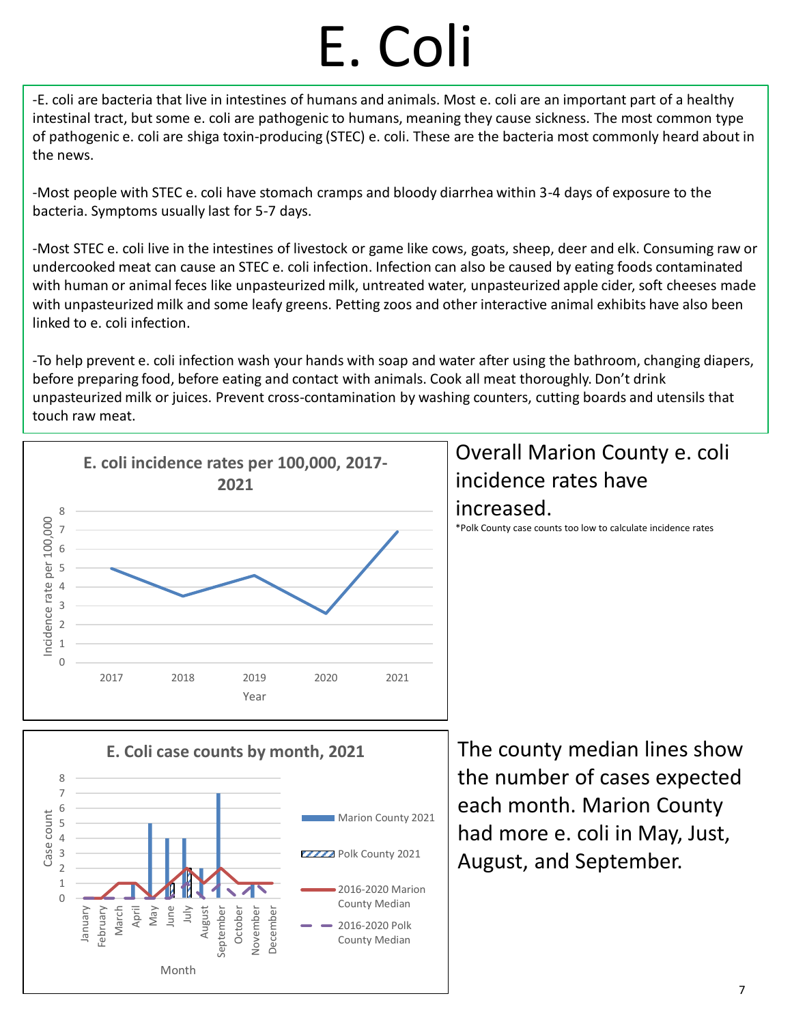# E. Coli

-E. coli are bacteria that live in intestines of humans and animals. Most e. coli are an important part of a healthy intestinal tract, but some e. coli are pathogenic to humans, meaning they cause sickness. The most common type of pathogenic e. coli are shiga toxin-producing (STEC) e. coli. These are the bacteria most commonly heard about in the news.

-Most people with STEC e. coli have stomach cramps and bloody diarrhea within 3-4 days of exposure to the bacteria. Symptoms usually last for 5-7 days.

-Most STEC e. coli live in the intestines of livestock or game like cows, goats, sheep, deer and elk. Consuming raw or undercooked meat can cause an STEC e. coli infection. Infection can also be caused by eating foods contaminated with human or animal feces like unpasteurized milk, untreated water, unpasteurized apple cider, soft cheeses made with unpasteurized milk and some leafy greens. Petting zoos and other interactive animal exhibits have also been linked to e. coli infection.

-To help prevent e. coli infection wash your hands with soap and water after using the bathroom, changing diapers, before preparing food, before eating and contact with animals. Cook all meat thoroughly. Don't drink unpasteurized milk or juices. Prevent cross-contamination by washing counters, cutting boards and utensils that touch raw meat.

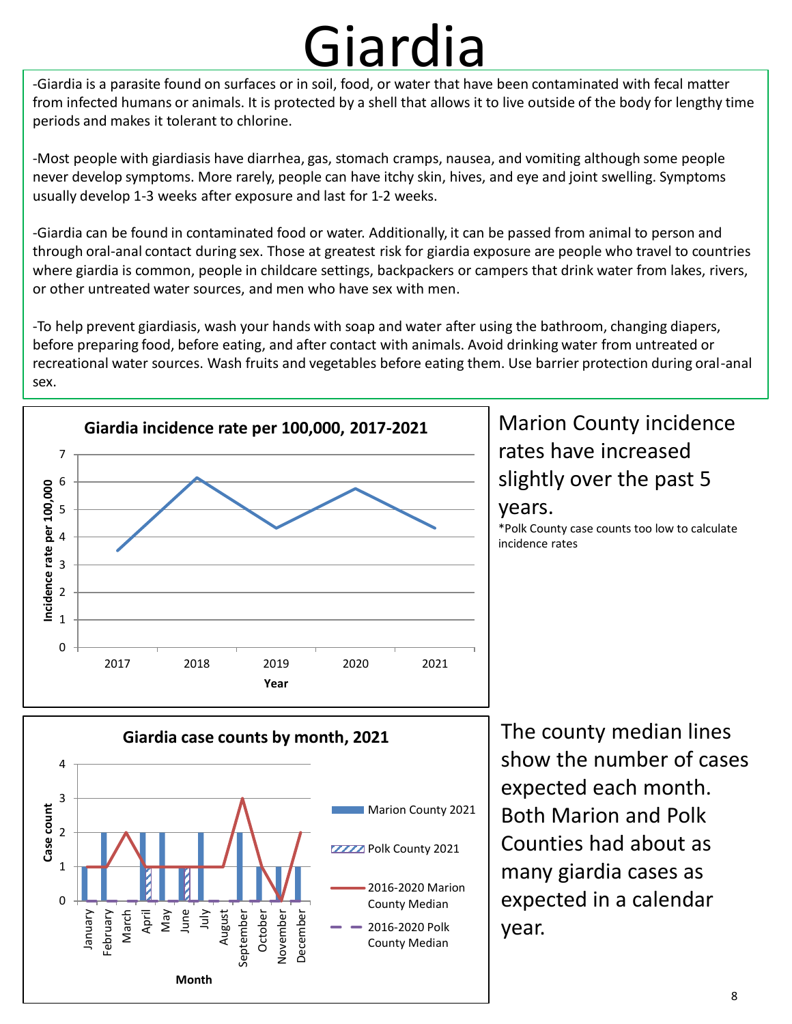### Giardia

-Giardia is a parasite found on surfaces or in soil, food, or water that have been contaminated with fecal matter from infected humans or animals. It is protected by a shell that allows it to live outside of the body for lengthy time periods and makes it tolerant to chlorine.

-Most people with giardiasis have diarrhea, gas, stomach cramps, nausea, and vomiting although some people never develop symptoms. More rarely, people can have itchy skin, hives, and eye and joint swelling. Symptoms usually develop 1-3 weeks after exposure and last for 1-2 weeks.

-Giardia can be found in contaminated food or water. Additionally, it can be passed from animal to person and through oral-anal contact during sex. Those at greatest risk for giardia exposure are people who travel to countries where giardia is common, people in childcare settings, backpackers or campers that drink water from lakes, rivers, or other untreated water sources, and men who have sex with men.

-To help prevent giardiasis, wash your hands with soap and water after using the bathroom, changing diapers, before preparing food, before eating, and after contact with animals. Avoid drinking water from untreated or recreational water sources. Wash fruits and vegetables before eating them. Use barrier protection during oral-anal sex.



#### Marion County incidence rates have increased slightly over the past 5 years.

\*Polk County case counts too low to calculate incidence rates

![](_page_7_Figure_8.jpeg)

The county median lines show the number of cases expected each month. Both Marion and Polk Counties had about as many giardia cases as expected in a calendar year.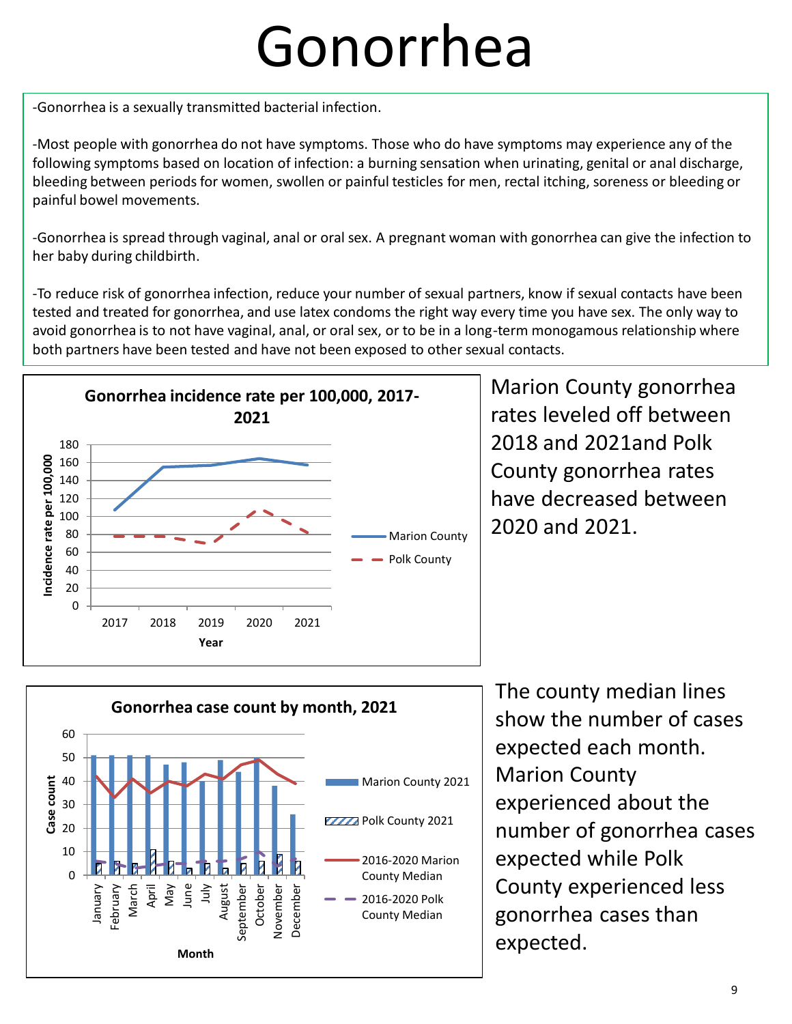### Gonorrhea

-Gonorrhea is a sexually transmitted bacterial infection.

-Most people with gonorrhea do not have symptoms. Those who do have symptoms may experience any of the following symptoms based on location of infection: a burning sensation when urinating, genital or anal discharge, bleeding between periods for women, swollen or painful testicles for men, rectal itching, soreness or bleeding or painful bowel movements.

-Gonorrhea is spread through vaginal, anal or oral sex. A pregnant woman with gonorrhea can give the infection to her baby during childbirth.

-To reduce risk of gonorrhea infection, reduce your number of sexual partners, know if sexual contacts have been tested and treated for gonorrhea, and use latex condoms the right way every time you have sex. The only way to avoid gonorrhea is to not have vaginal, anal, or oral sex, or to be in a long-term monogamous relationship where both partners have been tested and have not been exposed to other sexual contacts.

![](_page_8_Figure_5.jpeg)

Marion County gonorrhea rates leveled off between 2018 and 2021and Polk County gonorrhea rates have decreased between 2020 and 2021.

![](_page_8_Figure_7.jpeg)

The county median lines show the number of cases expected each month. Marion County experienced about the number of gonorrhea cases expected while Polk County experienced less gonorrhea cases than expected.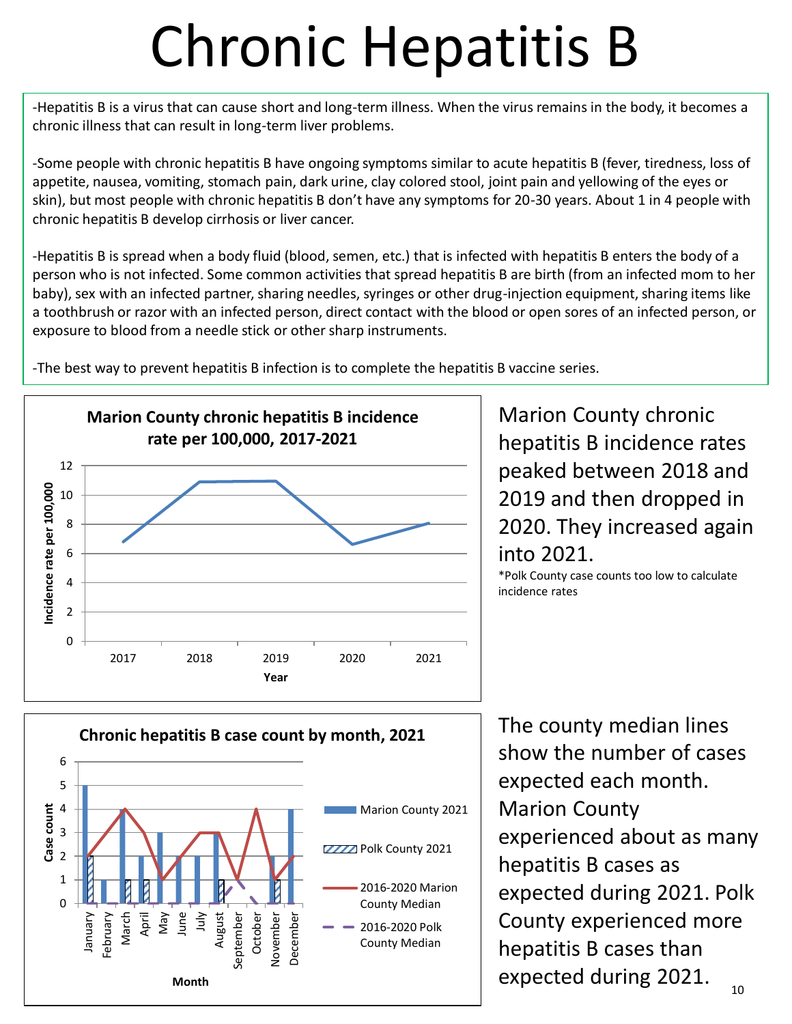### Chronic Hepatitis B

-Hepatitis B is a virus that can cause short and long-term illness. When the virus remains in the body, it becomes a chronic illness that can result in long-term liver problems.

-Some people with chronic hepatitis B have ongoing symptoms similar to acute hepatitis B (fever, tiredness, loss of appetite, nausea, vomiting, stomach pain, dark urine, clay colored stool, joint pain and yellowing of the eyes or skin), but most people with chronic hepatitis B don't have any symptoms for 20-30 years. About 1 in 4 people with chronic hepatitis B develop cirrhosis or liver cancer.

-Hepatitis B is spread when a body fluid (blood, semen, etc.) that is infected with hepatitis B enters the body of a person who is not infected. Some common activities that spread hepatitis B are birth (from an infected mom to her baby), sex with an infected partner, sharing needles, syringes or other drug-injection equipment, sharing items like a toothbrush or razor with an infected person, direct contact with the blood or open sores of an infected person, or exposure to blood from a needle stick or other sharp instruments.

**Marion County chronic hepatitis B incidence rate per 100,000, 2017-2021** 12 ncidence rate per 100,000 **Incidence rate per 100,000** 10 8 6 4 2 0 2017 2018 2019 2020 2021 **Year**

-The best way to prevent hepatitis B infection is to complete the hepatitis B vaccine series.

Marion County chronic hepatitis B incidence rates peaked between 2018 and 2019 and then dropped in 2020. They increased again into 2021.

\*Polk County case counts too low to calculate incidence rates

![](_page_9_Figure_8.jpeg)

The county median lines show the number of cases expected each month. Marion County experienced about as many hepatitis B cases as expected during 2021. Polk County experienced more hepatitis B cases than expected during 2021.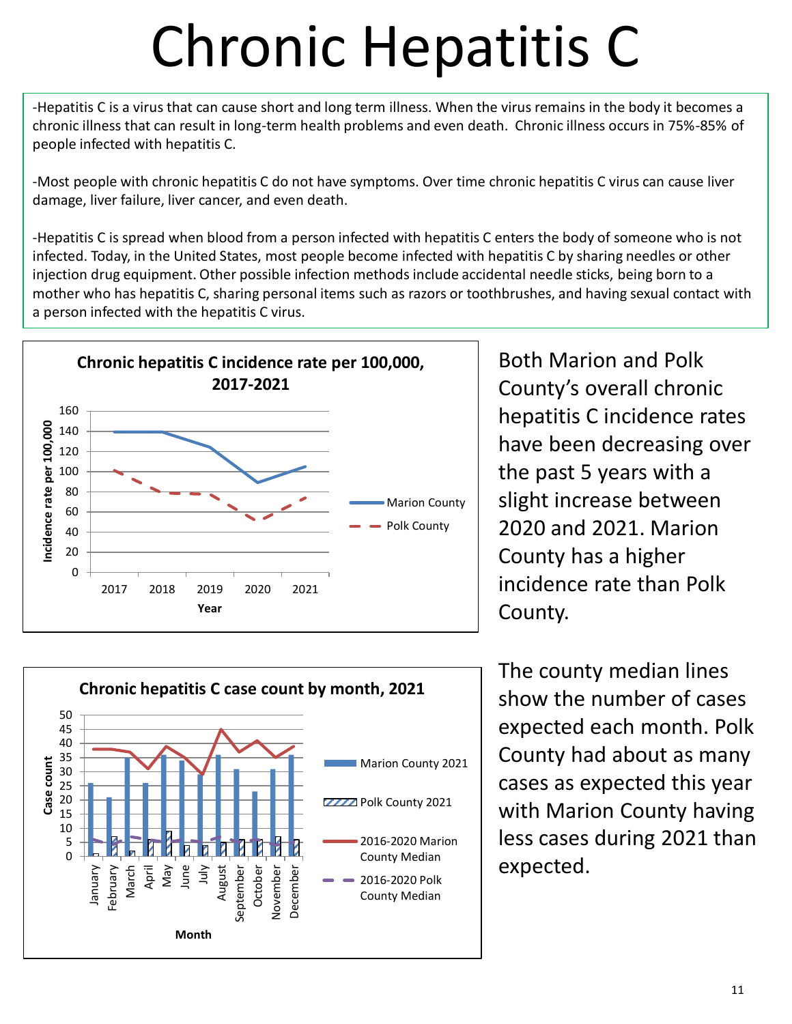## Chronic Hepatitis C

-Hepatitis C is a virus that can cause short and long term illness. When the virus remains in the body it becomes a chronic illness that can result in long-term health problems and even death. Chronic illness occurs in 75%-85% of people infected with hepatitis C.

-Most people with chronic hepatitis C do not have symptoms. Over time chronic hepatitis C virus can cause liver damage, liver failure, liver cancer, and even death.

-Hepatitis C is spread when blood from a person infected with hepatitis C enters the body of someone who is not infected. Today, in the United States, most people become infected with hepatitis C by sharing needles or other injection drug equipment. Other possible infection methods include accidental needle sticks, being born to a mother who has hepatitis C, sharing personal items such as razors or toothbrushes, and having sexual contact with a person infected with the hepatitis C virus.

![](_page_10_Figure_4.jpeg)

Both Marion and Polk County's overall chronic hepatitis C incidence rates have been decreasing over the past 5 years with a slight increase between 2020 and 2021. Marion County has a higher incidence rate than Polk County.

![](_page_10_Figure_6.jpeg)

The county median lines show the number of cases expected each month. Polk County had about as many cases as expected this year with Marion County having less cases during 2021 than expected.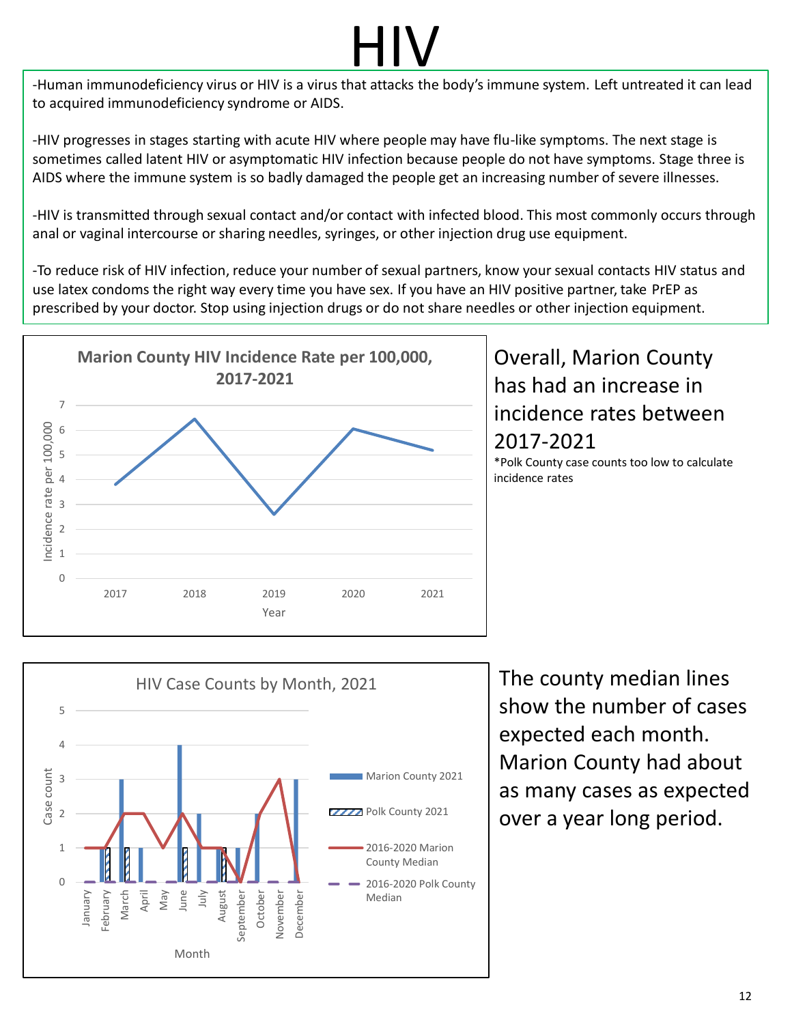-Human immunodeficiency virus or HIV is a virus that attacks the body's immune system. Left untreated it can lead to acquired immunodeficiency syndrome or AIDS.

-HIV progresses in stages starting with acute HIV where people may have flu-like symptoms. The next stage is sometimes called latent HIV or asymptomatic HIV infection because people do not have symptoms. Stage three is AIDS where the immune system is so badly damaged the people get an increasing number of severe illnesses.

-HIV is transmitted through sexual contact and/or contact with infected blood. This most commonly occurs through anal or vaginal intercourse or sharing needles, syringes, or other injection drug use equipment.

-To reduce risk of HIV infection, reduce your number of sexual partners, know your sexual contacts HIV status and use latex condoms the right way every time you have sex. If you have an HIV positive partner, take PrEP as prescribed by your doctor. Stop using injection drugs or do not share needles or other injection equipment.

![](_page_11_Figure_5.jpeg)

#### Overall, Marion County has had an increase in incidence rates between 2017-2021

\*Polk County case counts too low to calculate incidence rates

![](_page_11_Figure_8.jpeg)

The county median lines show the number of cases expected each month. Marion County had about as many cases as expected over a year long period.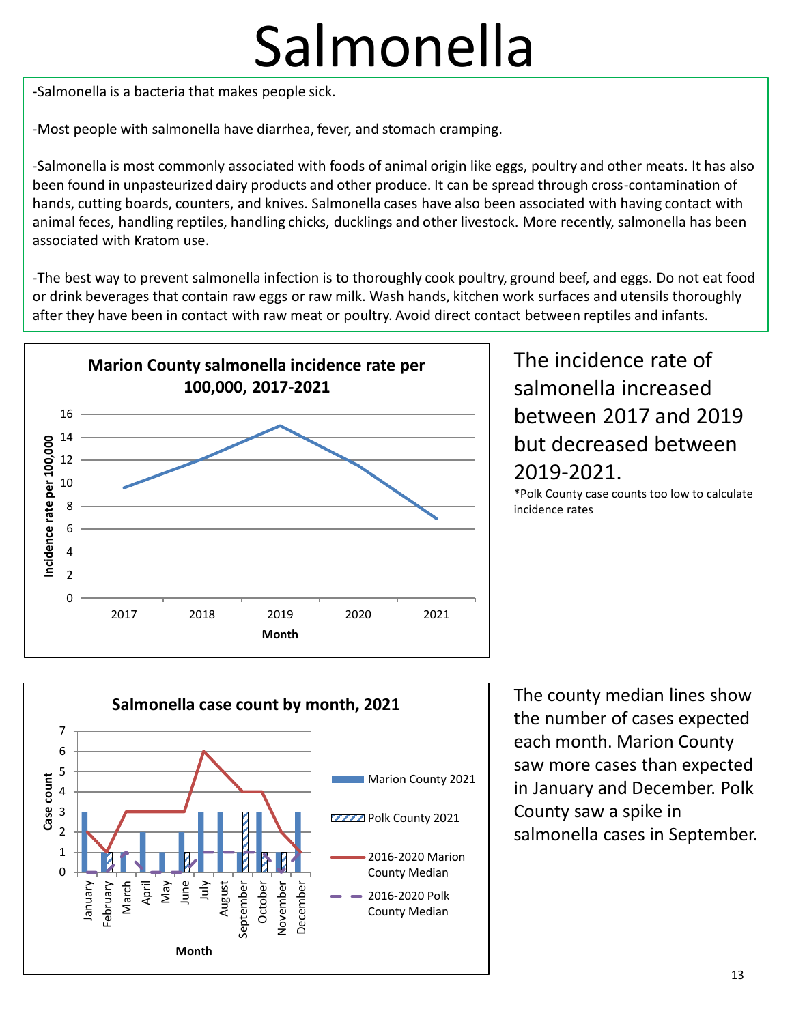### Salmonella

-Salmonella is a bacteria that makes people sick.

-Most people with salmonella have diarrhea, fever, and stomach cramping.

-Salmonella is most commonly associated with foods of animal origin like eggs, poultry and other meats. It has also been found in unpasteurized dairy products and other produce. It can be spread through cross-contamination of hands, cutting boards, counters, and knives. Salmonella cases have also been associated with having contact with animal feces, handling reptiles, handling chicks, ducklings and other livestock. More recently, salmonella has been associated with Kratom use.

-The best way to prevent salmonella infection is to thoroughly cook poultry, ground beef, and eggs. Do not eat food or drink beverages that contain raw eggs or raw milk. Wash hands, kitchen work surfaces and utensils thoroughly after they have been in contact with raw meat or poultry. Avoid direct contact between reptiles and infants.

![](_page_12_Figure_5.jpeg)

#### The incidence rate of salmonella increased between 2017 and 2019 but decreased between 2019-2021.

\*Polk County case counts too low to calculate incidence rates

![](_page_12_Figure_8.jpeg)

The county median lines show the number of cases expected each month. Marion County saw more cases than expected in January and December. Polk County saw a spike in salmonella cases in September.